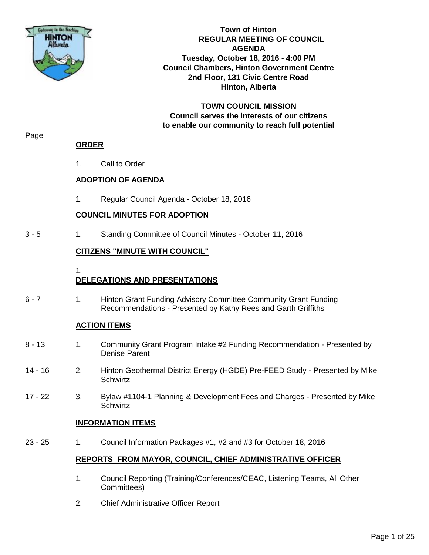

**Town of Hinton REGULAR MEETING OF COUNCIL AGENDA Tuesday, October 18, 2016 - 4:00 PM Council Chambers, Hinton Government Centre 2nd Floor, 131 Civic Centre Road Hinton, Alberta**

**TOWN COUNCIL MISSION Council serves the interests of our citizens to enable our community to reach full potential**

#### Page

#### **ORDER**

1. Call to Order

#### **ADOPTION OF AGENDA**

1. Regular Council Agenda - October 18, 2016

#### **COUNCIL MINUTES FOR ADOPTION**

3 - 5 1. Standing Committee of Council Minutes - October 11, 2016

#### **CITIZENS "MINUTE WITH COUNCIL"**

1.

#### **DELEGATIONS AND PRESENTATIONS**

6 - 7 1. Hinton Grant Funding Advisory Committee Community Grant Funding Recommendations - Presented by Kathy Rees and Garth Griffiths

#### **ACTION ITEMS**

- 8 13 1. Community Grant Program Intake #2 Funding Recommendation Presented by Denise Parent
- 14 16 2. Hinton Geothermal District Energy (HGDE) Pre-FEED Study Presented by Mike **Schwirtz**
- 17 22 3. Bylaw #1104-1 Planning & Development Fees and Charges Presented by Mike **Schwirtz**

#### **INFORMATION ITEMS**

23 - 25 1. Council Information Packages #1, #2 and #3 for October 18, 2016

#### **REPORTS FROM MAYOR, COUNCIL, CHIEF ADMINISTRATIVE OFFICER**

- 1. Council Reporting (Training/Conferences/CEAC, Listening Teams, All Other Committees)
- 2. Chief Administrative Officer Report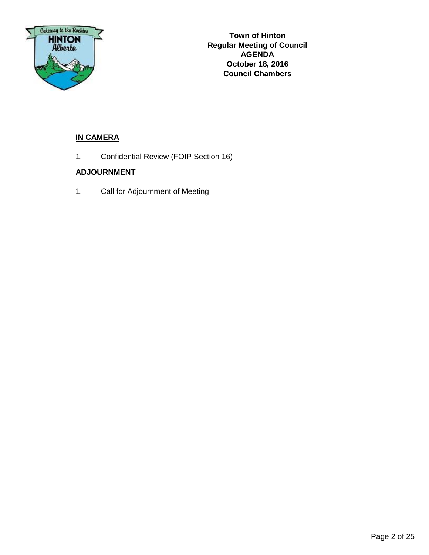

#### **IN CAMERA**

1. Confidential Review (FOIP Section 16)

#### **ADJOURNMENT**

1. Call for Adjournment of Meeting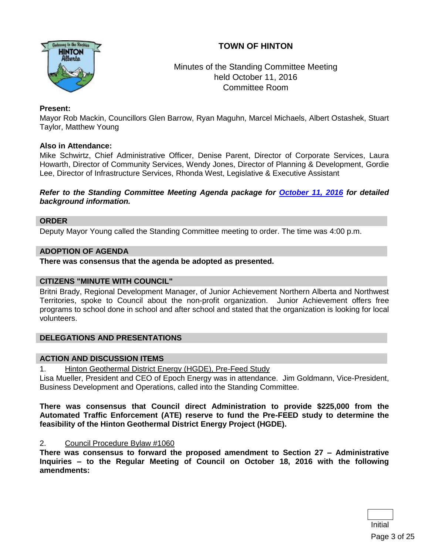#### **TOWN OF HINTON**



#### Minutes of the Standing Committee Meeting held October 11, 2016 Committee Room

#### **Present:**

Mayor Rob Mackin, Councillors Glen Barrow, Ryan Maguhn, Marcel Michaels, Albert Ostashek, Stuart Taylor, Matthew Young

#### **Also in Attendance:**

Mike Schwirtz, Chief Administrative Officer, Denise Parent, Director of Corporate Services, Laura Howarth, Director of Community Services, Wendy Jones, Director of Planning & Development, Gordie Lee, Director of Infrastructure Services, Rhonda West, Legislative & Executive Assistant

#### *Refer to the Standing Committee Meeting Agenda package for [October 11, 2016](http://www.hinton.ca/ArchiveCenter/ViewFile/Item/1836) for detailed background information.*

#### **ORDER**

Deputy Mayor Young called the Standing Committee meeting to order. The time was 4:00 p.m.

#### **ADOPTION OF AGENDA**

**There was consensus that the agenda be adopted as presented.**

#### **CITIZENS "MINUTE WITH COUNCIL"**

Britni Brady, Regional Development Manager, of Junior Achievement Northern Alberta and Northwest Territories, spoke to Council about the non-profit organization. Junior Achievement offers free programs to school done in school and after school and stated that the organization is looking for local volunteers.

#### **DELEGATIONS AND PRESENTATIONS**

#### **ACTION AND DISCUSSION ITEMS**

1. Hinton Geothermal District Energy (HGDE), Pre-Feed Study

Lisa Mueller, President and CEO of Epoch Energy was in attendance. Jim Goldmann, Vice-President, Business Development and Operations, called into the Standing Committee.

**There was consensus that Council direct Administration to provide \$225,000 from the Automated Traffic Enforcement (ATE) reserve to fund the Pre-FEED study to determine the feasibility of the Hinton Geothermal District Energy Project (HGDE).** 

#### 2. Council Procedure Bylaw #1060

**There was consensus to forward the proposed amendment to Section 27 – Administrative Inquiries – to the Regular Meeting of Council on October 18, 2016 with the following amendments:**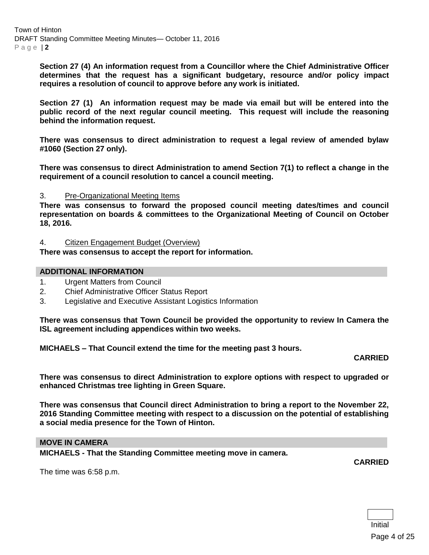**Section 27 (4) An information request from a Councillor where the Chief Administrative Officer determines that the request has a significant budgetary, resource and/or policy impact requires a resolution of council to approve before any work is initiated.** 

**Section 27 (1) An information request may be made via email but will be entered into the public record of the next regular council meeting. This request will include the reasoning behind the information request.** 

**There was consensus to direct administration to request a legal review of amended bylaw #1060 (Section 27 only).**

**There was consensus to direct Administration to amend Section 7(1) to reflect a change in the requirement of a council resolution to cancel a council meeting.**

#### 3. Pre-Organizational Meeting Items

**There was consensus to forward the proposed council meeting dates/times and council representation on boards & committees to the Organizational Meeting of Council on October 18, 2016.**

#### 4. Citizen Engagement Budget (Overview)

**There was consensus to accept the report for information.**

#### **ADDITIONAL INFORMATION**

- 1. Urgent Matters from Council
- 2. Chief Administrative Officer Status Report
- 3. Legislative and Executive Assistant Logistics Information

**There was consensus that Town Council be provided the opportunity to review In Camera the ISL agreement including appendices within two weeks.**

**MICHAELS – That Council extend the time for the meeting past 3 hours.**

#### **CARRIED**

**There was consensus to direct Administration to explore options with respect to upgraded or enhanced Christmas tree lighting in Green Square.** 

**There was consensus that Council direct Administration to bring a report to the November 22, 2016 Standing Committee meeting with respect to a discussion on the potential of establishing a social media presence for the Town of Hinton.** 

#### **MOVE IN CAMERA**

**MICHAELS - That the Standing Committee meeting move in camera.**

The time was 6:58 p.m.

**CARRIED**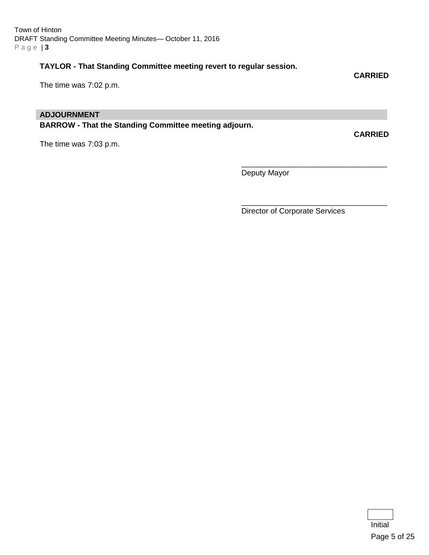#### **TAYLOR - That Standing Committee meeting revert to regular session.**

The time was 7:02 p.m.

#### **ADJOURNMENT**

**BARROW - That the Standing Committee meeting adjourn.**

The time was 7:03 p.m.

Deputy Mayor

Director of Corporate Services

\_\_\_\_\_\_\_\_\_\_\_\_\_\_\_\_\_\_\_\_\_\_\_\_\_\_\_\_\_\_\_\_\_\_

\_\_\_\_\_\_\_\_\_\_\_\_\_\_\_\_\_\_\_\_\_\_\_\_\_\_\_\_\_\_\_\_\_\_

**CARRIED**

**CARRIED**

Initial Page 5 of 25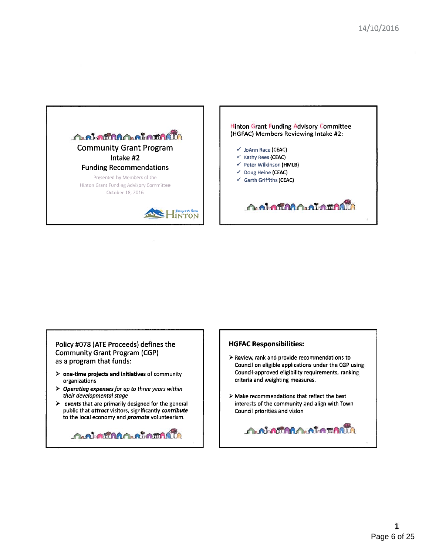

Hinton Grant Funding Advisory Committee (HGFAC) Members Reviewing Intake #2:

- <sup>V</sup> ioAnn Race (CEAC)
- <sup>V</sup> Kathy Rees (CEAC)
- <sup>V</sup> Peter Wilkinson (HMLB)
- <sup>V</sup> Doug Heine (CEAC)
- <sup>V</sup> Garth Griffiths (CEAC)

**OG BOTHA COLORATION** 

Policy #078 (ATE Proceeds) defines the Community Grant Program (CGP) as <sup>a</sup> program that funds:

- $\triangleright$   $\,$  one-time projects and initiatives of community organizations
- $\triangleright$  Operating expenses for up to three years within their developmental stage
- $\geq$  events that are primarily designed for the general public that attract visitors, significantly contribute to the local economy and *promote* volunteerism.

**AN ATARA ALATARIA** 

#### HGFAC Responsibilities:

- <sup>&</sup>gt; Review, rank and provide recommendations to Council on eligible applications under the CGP using Council-approved eligibility requirements, ranking criteria and weighting measures.
- Make recommendations that reflect the best interests of the community and align with Town Council priorities and vision

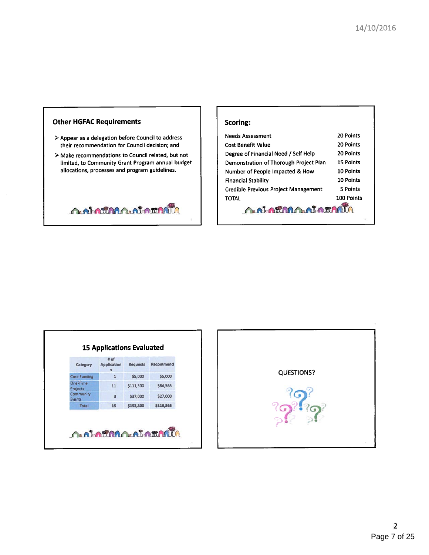

- $\triangleright$  Appear as a delegation before Council to address their recommendation for Council decision; and
- $\triangleright$  Make recommendations to Council related, but not  $\qquad \qquad \vert \qquad \vert$  Degree of Financial Need / Self Help 20 Points limited, to Community Grant Program annual budget allocations, processes and program guidelines.

**A.N. ARABALA LATALIA** 

| <b>Needs Assessment</b>                      | 20 Points        |  |  |
|----------------------------------------------|------------------|--|--|
| <b>Cost Benefit Value</b>                    | 20 Points        |  |  |
| Degree of Financial Need / Self Help         | <b>20 Points</b> |  |  |
| Demonstration of Thorough Project Plan       | <b>15 Points</b> |  |  |
| 10 Points<br>Number of People Impacted & How |                  |  |  |
| <b>Financial Stability</b>                   | 10 Points        |  |  |
| <b>Credible Previous Project Management</b>  | 5 Points         |  |  |
| <b>TOTAL</b>                                 | 100 Points       |  |  |
| <b>A.N. MARALALAMAR</b>                      |                  |  |  |

| Category             | # of<br><b>Application</b><br>s. | <b>Requests</b> | Recommend |
|----------------------|----------------------------------|-----------------|-----------|
| <b>Core Funding</b>  | 1                                | \$5,000         | \$5,000   |
| One-Time<br>Projects | 11                               | \$111,300       | \$84,565  |
| Community<br>Events  | 3                                | \$37,000        | \$27,000  |
| <b>Total</b>         | 15                               | \$153,300       | \$116,565 |

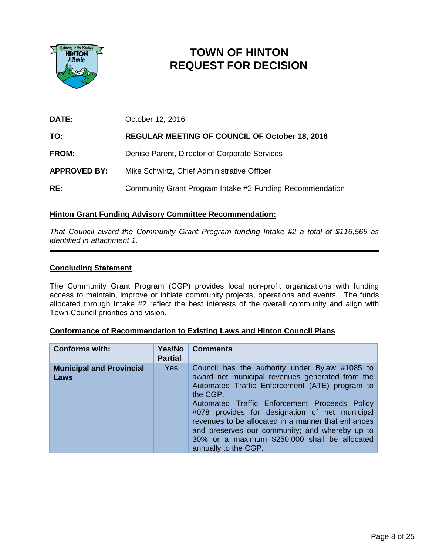

# **TOWN OF HINTON REQUEST FOR DECISION**

| DATE:               | October 12, 2016                                         |
|---------------------|----------------------------------------------------------|
| TO:                 | <b>REGULAR MEETING OF COUNCIL OF October 18, 2016</b>    |
| <b>FROM:</b>        | Denise Parent, Director of Corporate Services            |
| <b>APPROVED BY:</b> | Mike Schwirtz, Chief Administrative Officer              |
| RE:                 | Community Grant Program Intake #2 Funding Recommendation |

#### **Hinton Grant Funding Advisory Committee Recommendation:**

*That Council award the Community Grant Program funding Intake #2 a total of \$116,565 as identified in attachment 1.*

#### **Concluding Statement**

The Community Grant Program (CGP) provides local non-profit organizations with funding access to maintain, improve or initiate community projects, operations and events. The funds allocated through Intake #2 reflect the best interests of the overall community and align with Town Council priorities and vision.

| <b>Conformance of Recommendation to Existing Laws and Hinton Council Plans</b> |  |  |
|--------------------------------------------------------------------------------|--|--|
|                                                                                |  |  |

| <b>Conforms with:</b>                          | Yes/No<br><b>Partial</b> | <b>Comments</b>                                                                                                                                                                                                                                                                                                                                                                                                                                     |
|------------------------------------------------|--------------------------|-----------------------------------------------------------------------------------------------------------------------------------------------------------------------------------------------------------------------------------------------------------------------------------------------------------------------------------------------------------------------------------------------------------------------------------------------------|
| <b>Municipal and Provincial</b><br><b>Laws</b> | <b>Yes</b>               | Council has the authority under Bylaw #1085 to<br>award net municipal revenues generated from the<br>Automated Traffic Enforcement (ATE) program to<br>the CGP.<br>Automated Traffic Enforcement Proceeds Policy<br>#078 provides for designation of net municipal<br>revenues to be allocated in a manner that enhances<br>and preserves our community; and whereby up to<br>30% or a maximum \$250,000 shall be allocated<br>annually to the CGP. |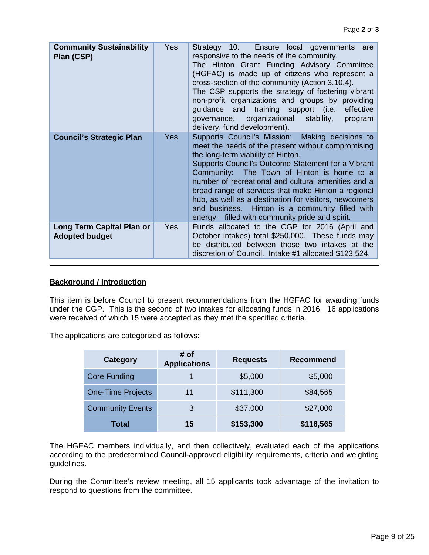| <b>Community Sustainability</b><br>Plan (CSP)      | <b>Yes</b> | Strategy 10: Ensure local governments are<br>responsive to the needs of the community.<br>The Hinton Grant Funding Advisory Committee<br>(HGFAC) is made up of citizens who represent a<br>cross-section of the community (Action 3.10.4).<br>The CSP supports the strategy of fostering vibrant<br>non-profit organizations and groups by providing<br>guidance and training support (i.e.<br>effective<br>governance, organizational stability,<br>program<br>delivery, fund development).                                  |
|----------------------------------------------------|------------|-------------------------------------------------------------------------------------------------------------------------------------------------------------------------------------------------------------------------------------------------------------------------------------------------------------------------------------------------------------------------------------------------------------------------------------------------------------------------------------------------------------------------------|
| <b>Council's Strategic Plan</b>                    | <b>Yes</b> | Supports Council's Mission: Making decisions to<br>meet the needs of the present without compromising<br>the long-term viability of Hinton.<br>Supports Council's Outcome Statement for a Vibrant<br>Community: The Town of Hinton is home to a<br>number of recreational and cultural amenities and a<br>broad range of services that make Hinton a regional<br>hub, as well as a destination for visitors, newcomers<br>and business. Hinton is a community filled with<br>energy – filled with community pride and spirit. |
| Long Term Capital Plan or<br><b>Adopted budget</b> | <b>Yes</b> | Funds allocated to the CGP for 2016 (April and<br>October intakes) total \$250,000. These funds may<br>be distributed between those two intakes at the<br>discretion of Council. Intake #1 allocated \$123,524.                                                                                                                                                                                                                                                                                                               |

#### **Background / Introduction**

This item is before Council to present recommendations from the HGFAC for awarding funds under the CGP. This is the second of two intakes for allocating funds in 2016. 16 applications were received of which 15 were accepted as they met the specified criteria.

The applications are categorized as follows:

| <b>Category</b>          | # of<br><b>Applications</b> | <b>Requests</b> | <b>Recommend</b> |  |
|--------------------------|-----------------------------|-----------------|------------------|--|
| <b>Core Funding</b>      |                             | \$5,000         | \$5,000          |  |
| <b>One-Time Projects</b> | 11                          | \$111,300       | \$84,565         |  |
| <b>Community Events</b>  | 3                           | \$37,000        | \$27,000         |  |
| <b>Total</b>             | 15                          | \$153,300       | \$116,565        |  |

The HGFAC members individually, and then collectively, evaluated each of the applications according to the predetermined Council-approved eligibility requirements, criteria and weighting guidelines.

During the Committee's review meeting, all 15 applicants took advantage of the invitation to respond to questions from the committee.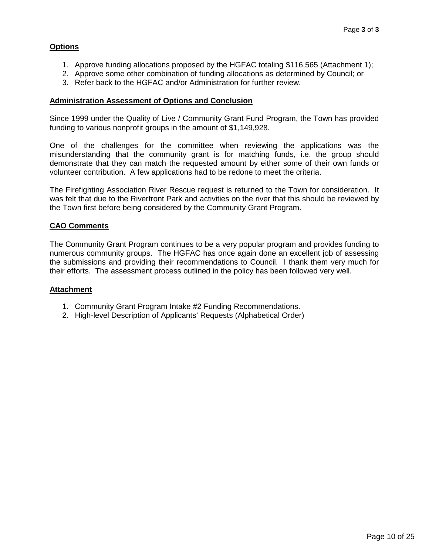#### **Options**

- 1. Approve funding allocations proposed by the HGFAC totaling \$116,565 (Attachment 1);
- 2. Approve some other combination of funding allocations as determined by Council; or
- 3. Refer back to the HGFAC and/or Administration for further review.

#### **Administration Assessment of Options and Conclusion**

Since 1999 under the Quality of Live / Community Grant Fund Program, the Town has provided funding to various nonprofit groups in the amount of \$1,149,928.

One of the challenges for the committee when reviewing the applications was the misunderstanding that the community grant is for matching funds, i.e. the group should demonstrate that they can match the requested amount by either some of their own funds or volunteer contribution. A few applications had to be redone to meet the criteria.

The Firefighting Association River Rescue request is returned to the Town for consideration. It was felt that due to the Riverfront Park and activities on the river that this should be reviewed by the Town first before being considered by the Community Grant Program.

#### **CAO Comments**

The Community Grant Program continues to be a very popular program and provides funding to numerous community groups. The HGFAC has once again done an excellent job of assessing the submissions and providing their recommendations to Council. I thank them very much for their efforts. The assessment process outlined in the policy has been followed very well.

#### **Attachment**

- 1. Community Grant Program Intake #2 Funding Recommendations.
- 2. High-level Description of Applicants' Requests (Alphabetical Order)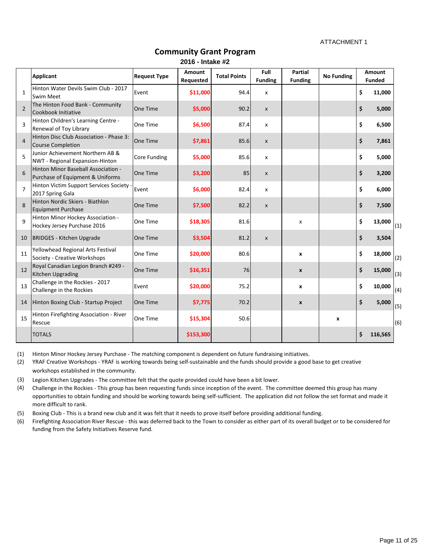ATTACHMENT 1

|                | <b>Applicant</b>                                                        | <b>Request Type</b> | <b>Amount</b><br>Requested | <b>Total Points</b> | Full<br><b>Funding</b>    | <b>Partial</b><br><b>Funding</b> | <b>No Funding</b>  | <b>Amount</b><br><b>Funded</b> |     |
|----------------|-------------------------------------------------------------------------|---------------------|----------------------------|---------------------|---------------------------|----------------------------------|--------------------|--------------------------------|-----|
| $\mathbf{1}$   | Hinton Water Devils Swim Club - 2017<br><b>Swim Meet</b>                | Event               | \$11,000                   | 94.4                | X                         |                                  |                    | \$<br>11,000                   |     |
| $\overline{2}$ | The Hinton Food Bank - Community<br>Cookbook Initiative                 | One Time            | \$5,000                    | 90.2                | $\boldsymbol{\mathsf{X}}$ |                                  |                    | \$<br>5,000                    |     |
| $\overline{3}$ | Hinton Children's Learning Centre -<br>Renewal of Toy Library           | One Time            | \$6,500                    | 87.4                | X                         |                                  |                    | \$<br>6,500                    |     |
| $\overline{4}$ | Hinton Disc Club Association - Phase 3:<br><b>Course Completion</b>     | One Time            | \$7,861                    | 85.6                | $\pmb{\times}$            |                                  |                    | \$<br>7,861                    |     |
| 5              | Junior Achievement Northern AB &<br>NWT - Regional Expansion-Hinton     | <b>Core Funding</b> | \$5,000                    | 85.6                | X                         |                                  |                    | \$<br>5,000                    |     |
| 6              | Hinton Minor Baseball Association -<br>Purchase of Equipment & Uniforms | One Time            | \$3,200                    | 85                  | $\pmb{\times}$            |                                  |                    | \$<br>3,200                    |     |
| $\overline{7}$ | Hinton Victim Support Services Society -<br>2017 Spring Gala            | Event               | \$6,000                    | 82.4                | X                         |                                  |                    | \$<br>6,000                    |     |
| 8              | Hinton Nordic Skiers - Biathlon<br><b>Equipment Purchase</b>            | One Time            | \$7,500                    | 82.2                | $\boldsymbol{\mathsf{X}}$ |                                  |                    | \$<br>7,500                    |     |
| 9              | Hinton Minor Hockey Association -<br>Hockey Jersey Purchase 2016        | One Time            | \$18,305                   | 81.6                |                           | X                                |                    | \$<br>13,000                   | (1) |
| 10             | <b>BRIDGES - Kitchen Upgrade</b>                                        | One Time            | \$3,504                    | 81.2                | X                         |                                  |                    | \$<br>3,504                    |     |
| 11             | Yellowhead Regional Arts Festival<br>Society - Creative Workshops       | One Time            | \$20,000                   | 80.6                |                           | X                                |                    | \$<br>18,000                   | (2) |
| 12             | Royal Canadian Legion Branch #249 -<br>Kitchen Upgrading                | One Time            | \$16,351                   | 76                  |                           | $\mathbf{x}$                     |                    | \$<br>15,000                   | (3) |
| 13             | Challenge in the Rockies - 2017<br>Challenge in the Rockies             | Event               | \$20,000                   | 75.2                |                           | X                                |                    | \$<br>10,000                   | (4) |
| 14             | Hinton Boxing Club - Startup Project                                    | One Time            | \$7,775                    | 70.2                |                           | $\pmb{\mathsf{X}}$               |                    | \$<br>5,000                    | (5) |
| 15             | Hinton Firefighting Association - River<br>Rescue                       | One Time            | \$15,304                   | 50.6                |                           |                                  | $\pmb{\mathsf{x}}$ |                                | (6) |
|                | <b>TOTALS</b>                                                           |                     | \$153,300                  |                     |                           |                                  |                    | \$<br>116,565                  |     |

### **Community Grant Program 2016 - Intake #2**

(1) Hinton Minor Hockey Jersey Purchase - The matching component is dependent on future fundraising initiatives.

(2) workshops established in the community. YRAF Creative Workshops - YRAF is working towards being self-sustainable and the funds should provide a good base to get creative

(3) Legion Kitchen Upgrades - The committee felt that the quote provided could have been a bit lower.

(4) Challenge in the Rockies - This group has been requesting funds since inception of the event. The committee deemed this group has many opportunities to obtain funding and should be working towards being self-sufficient. The application did not follow the set format and made it more difficult to rank.

(5) Boxing Club - This is a brand new club and it was felt that it needs to prove itself before providing additional funding.

(6) Firefighting Association River Rescue - this was deferred back to the Town to consider as either part of its overall budget or to be considered for funding from the Safety Initiatives Reserve fund.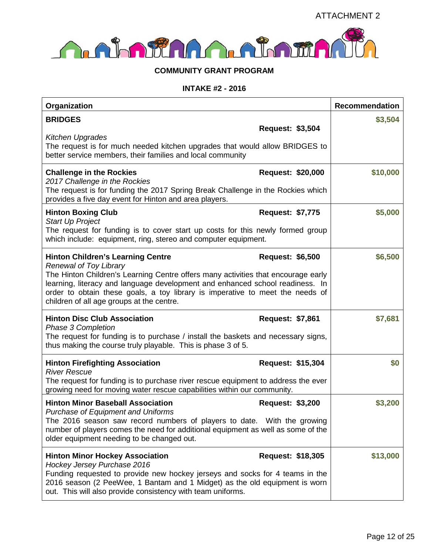

#### **COMMUNITY GRANT PROGRAM**

#### **INTAKE #2 - 2016**

| Organization                                                                                                                                                                                                                                                                                                                                                                  |                          | <b>Recommendation</b> |
|-------------------------------------------------------------------------------------------------------------------------------------------------------------------------------------------------------------------------------------------------------------------------------------------------------------------------------------------------------------------------------|--------------------------|-----------------------|
| <b>BRIDGES</b>                                                                                                                                                                                                                                                                                                                                                                | <b>Request: \$3,504</b>  | \$3,504               |
| <b>Kitchen Upgrades</b><br>The request is for much needed kitchen upgrades that would allow BRIDGES to<br>better service members, their families and local community                                                                                                                                                                                                          |                          |                       |
| <b>Challenge in the Rockies</b><br>2017 Challenge in the Rockies<br>The request is for funding the 2017 Spring Break Challenge in the Rockies which<br>provides a five day event for Hinton and area players.                                                                                                                                                                 | <b>Request: \$20,000</b> | \$10,000              |
| <b>Hinton Boxing Club</b><br><b>Start Up Project</b>                                                                                                                                                                                                                                                                                                                          | <b>Request: \$7,775</b>  | \$5,000               |
| The request for funding is to cover start up costs for this newly formed group<br>which include: equipment, ring, stereo and computer equipment.                                                                                                                                                                                                                              |                          |                       |
| <b>Hinton Children's Learning Centre</b><br><b>Renewal of Toy Library</b><br>The Hinton Children's Learning Centre offers many activities that encourage early<br>learning, literacy and language development and enhanced school readiness. In<br>order to obtain these goals, a toy library is imperative to meet the needs of<br>children of all age groups at the centre. | <b>Request: \$6,500</b>  | \$6,500               |
| <b>Hinton Disc Club Association</b><br>Phase 3 Completion<br>The request for funding is to purchase / install the baskets and necessary signs,<br>thus making the course truly playable. This is phase 3 of 5.                                                                                                                                                                | Request: \$7,861         | \$7,681               |
| <b>Hinton Firefighting Association</b><br><b>River Rescue</b>                                                                                                                                                                                                                                                                                                                 | Request: \$15,304        | \$0                   |
| The request for funding is to purchase river rescue equipment to address the ever<br>growing need for moving water rescue capabilities within our community.                                                                                                                                                                                                                  |                          |                       |
| <b>Hinton Minor Baseball Association</b><br><b>Purchase of Equipment and Uniforms</b><br>The 2016 season saw record numbers of players to date. With the growing<br>number of players comes the need for additional equipment as well as some of the<br>older equipment needing to be changed out.                                                                            | <b>Request: \$3,200</b>  | \$3,200               |
| <b>Hinton Minor Hockey Association</b><br>Hockey Jersey Purchase 2016<br>Funding requested to provide new hockey jerseys and socks for 4 teams in the<br>2016 season (2 PeeWee, 1 Bantam and 1 Midget) as the old equipment is worn<br>out. This will also provide consistency with team uniforms.                                                                            | <b>Request: \$18,305</b> | \$13,000              |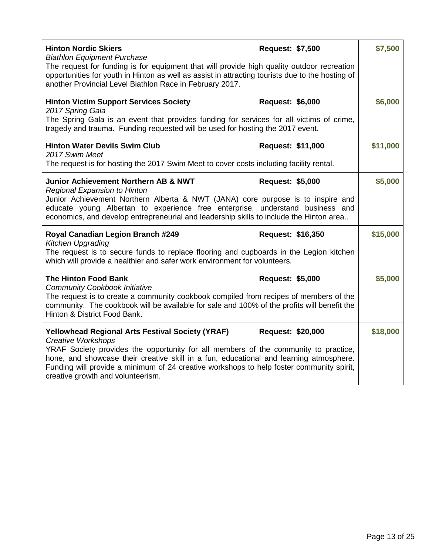| <b>Hinton Nordic Skiers</b><br><b>Biathlon Equipment Purchase</b><br>The request for funding is for equipment that will provide high quality outdoor recreation<br>opportunities for youth in Hinton as well as assist in attracting tourists due to the hosting of<br>another Provincial Level Biathlon Race in February 2017.                                                                        | <b>Request: \$7,500</b>  | \$7,500  |
|--------------------------------------------------------------------------------------------------------------------------------------------------------------------------------------------------------------------------------------------------------------------------------------------------------------------------------------------------------------------------------------------------------|--------------------------|----------|
| <b>Hinton Victim Support Services Society</b><br>2017 Spring Gala<br>The Spring Gala is an event that provides funding for services for all victims of crime,<br>tragedy and trauma. Funding requested will be used for hosting the 2017 event.                                                                                                                                                        | <b>Request: \$6,000</b>  | \$6,000  |
| <b>Hinton Water Devils Swim Club</b><br>2017 Swim Meet<br>The request is for hosting the 2017 Swim Meet to cover costs including facility rental.                                                                                                                                                                                                                                                      | <b>Request: \$11,000</b> | \$11,000 |
| <b>Junior Achievement Northern AB &amp; NWT</b><br><b>Regional Expansion to Hinton</b><br>Junior Achievement Northern Alberta & NWT (JANA) core purpose is to inspire and<br>educate young Albertan to experience free enterprise, understand business and<br>economics, and develop entrepreneurial and leadership skills to include the Hinton area                                                  | <b>Request: \$5,000</b>  | \$5,000  |
| Royal Canadian Legion Branch #249<br><b>Kitchen Upgrading</b><br>The request is to secure funds to replace flooring and cupboards in the Legion kitchen<br>which will provide a healthier and safer work environment for volunteers.                                                                                                                                                                   | <b>Request: \$16,350</b> | \$15,000 |
| <b>The Hinton Food Bank</b><br><b>Community Cookbook Initiative</b><br>The request is to create a community cookbook compiled from recipes of members of the<br>community. The cookbook will be available for sale and 100% of the profits will benefit the<br>Hinton & District Food Bank.                                                                                                            | <b>Request: \$5,000</b>  | \$5,000  |
| <b>Yellowhead Regional Arts Festival Society (YRAF)</b><br><b>Creative Workshops</b><br>YRAF Society provides the opportunity for all members of the community to practice,<br>hone, and showcase their creative skill in a fun, educational and learning atmosphere.<br>Funding will provide a minimum of 24 creative workshops to help foster community spirit,<br>creative growth and volunteerism. | <b>Request: \$20,000</b> | \$18,000 |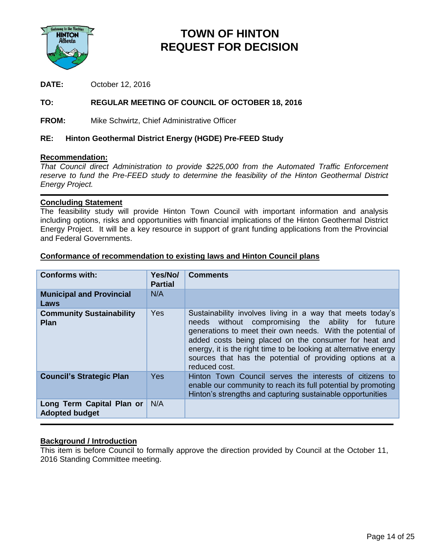

## **TOWN OF HINTON REQUEST FOR DECISION**

**DATE:** October 12, 2016

#### **TO: REGULAR MEETING OF COUNCIL OF OCTOBER 18, 2016**

**FROM:** Mike Schwirtz, Chief Administrative Officer

#### **RE: Hinton Geothermal District Energy (HGDE) Pre-FEED Study**

#### **Recommendation:**

*That Council direct Administration to provide \$225,000 from the Automated Traffic Enforcement*  reserve to fund the Pre-FEED study to determine the feasibility of the Hinton Geothermal District *Energy Project.*

#### **Concluding Statement**

The feasibility study will provide Hinton Town Council with important information and analysis including options, risks and opportunities with financial implications of the Hinton Geothermal District Energy Project. It will be a key resource in support of grant funding applications from the Provincial and Federal Governments.

#### **Conforms with: Yes/No/ Partial Comments Municipal and Provincial Laws** N/A

**Conformance of recommendation to existing laws and Hinton Council plans**

| Law J                                              |     |                                                                                                                                                                                                                                                                                                                                                                                            |
|----------------------------------------------------|-----|--------------------------------------------------------------------------------------------------------------------------------------------------------------------------------------------------------------------------------------------------------------------------------------------------------------------------------------------------------------------------------------------|
| <b>Community Sustainability</b><br>Plan            | Yes | Sustainability involves living in a way that meets today's<br>needs without compromising the ability for<br>future<br>generations to meet their own needs. With the potential of<br>added costs being placed on the consumer for heat and<br>energy, it is the right time to be looking at alternative energy<br>sources that has the potential of providing options at a<br>reduced cost. |
| <b>Council's Strategic Plan</b>                    | Yes | Hinton Town Council serves the interests of citizens to<br>enable our community to reach its full potential by promoting<br>Hinton's strengths and capturing sustainable opportunities                                                                                                                                                                                                     |
| Long Term Capital Plan or<br><b>Adopted budget</b> | N/A |                                                                                                                                                                                                                                                                                                                                                                                            |

#### **Background / Introduction**

This item is before Council to formally approve the direction provided by Council at the October 11, 2016 Standing Committee meeting.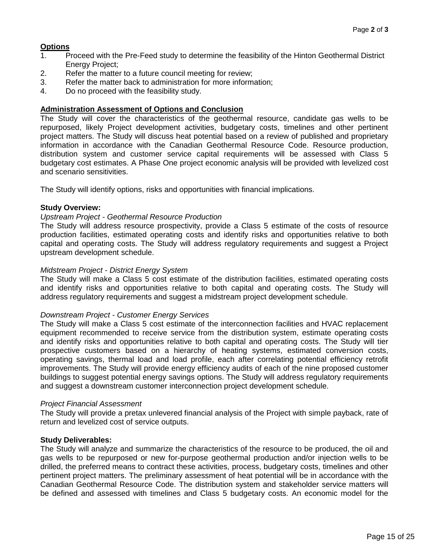#### **Options**

- 1. Proceed with the Pre-Feed study to determine the feasibility of the Hinton Geothermal District Energy Project;
- 2. Refer the matter to a future council meeting for review;
- 3. Refer the matter back to administration for more information;
- 4. Do no proceed with the feasibility study.

#### **Administration Assessment of Options and Conclusion**

The Study will cover the characteristics of the geothermal resource, candidate gas wells to be repurposed, likely Project development activities, budgetary costs, timelines and other pertinent project matters. The Study will discuss heat potential based on a review of published and proprietary information in accordance with the Canadian Geothermal Resource Code. Resource production, distribution system and customer service capital requirements will be assessed with Class 5 budgetary cost estimates. A Phase One project economic analysis will be provided with levelized cost and scenario sensitivities.

The Study will identify options, risks and opportunities with financial implications.

#### **Study Overview:**

#### *Upstream Project - Geothermal Resource Production*

The Study will address resource prospectivity, provide a Class 5 estimate of the costs of resource production facilities, estimated operating costs and identify risks and opportunities relative to both capital and operating costs. The Study will address regulatory requirements and suggest a Project upstream development schedule.

#### *Midstream Project - District Energy System*

The Study will make a Class 5 cost estimate of the distribution facilities, estimated operating costs and identify risks and opportunities relative to both capital and operating costs. The Study will address regulatory requirements and suggest a midstream project development schedule.

#### *Downstream Project - Customer Energy Services*

The Study will make a Class 5 cost estimate of the interconnection facilities and HVAC replacement equipment recommended to receive service from the distribution system, estimate operating costs and identify risks and opportunities relative to both capital and operating costs. The Study will tier prospective customers based on a hierarchy of heating systems, estimated conversion costs, operating savings, thermal load and load profile, each after correlating potential efficiency retrofit improvements. The Study will provide energy efficiency audits of each of the nine proposed customer buildings to suggest potential energy savings options. The Study will address regulatory requirements and suggest a downstream customer interconnection project development schedule.

#### *Project Financial Assessment*

The Study will provide a pretax unlevered financial analysis of the Project with simple payback, rate of return and levelized cost of service outputs.

#### **Study Deliverables:**

The Study will analyze and summarize the characteristics of the resource to be produced, the oil and gas wells to be repurposed or new for-purpose geothermal production and/or injection wells to be drilled, the preferred means to contract these activities, process, budgetary costs, timelines and other pertinent project matters. The preliminary assessment of heat potential will be in accordance with the Canadian Geothermal Resource Code. The distribution system and stakeholder service matters will be defined and assessed with timelines and Class 5 budgetary costs. An economic model for the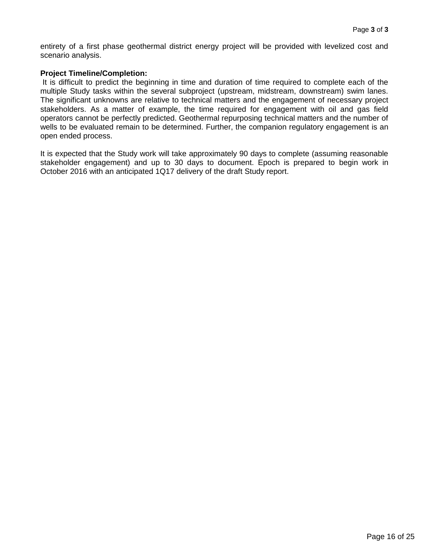entirety of a first phase geothermal district energy project will be provided with levelized cost and scenario analysis.

#### **Project Timeline/Completion:**

It is difficult to predict the beginning in time and duration of time required to complete each of the multiple Study tasks within the several subproject (upstream, midstream, downstream) swim lanes. The significant unknowns are relative to technical matters and the engagement of necessary project stakeholders. As a matter of example, the time required for engagement with oil and gas field operators cannot be perfectly predicted. Geothermal repurposing technical matters and the number of wells to be evaluated remain to be determined. Further, the companion regulatory engagement is an open ended process.

It is expected that the Study work will take approximately 90 days to complete (assuming reasonable stakeholder engagement) and up to 30 days to document. Epoch is prepared to begin work in October 2016 with an anticipated 1Q17 delivery of the draft Study report.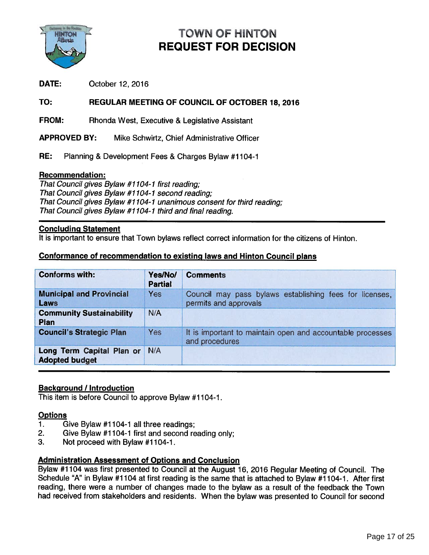

# TOWN OF HINTON REQUEST FOR DECISION

#### TO: REGULAR MEETING OF COUNCIL OF OCTOBER 18, 2016

#### Recommendation:

#### Concluding Statement

#### Conformance of recommendation to existing laws and Hinton Council <sup>p</sup>lans

| <b>TOWN OF HINTON</b><br><b>REQUEST FOR DECISION</b>                                                                                                                                                                                                                                                                                                                                                     |                           |                                                                                  |  |  |
|----------------------------------------------------------------------------------------------------------------------------------------------------------------------------------------------------------------------------------------------------------------------------------------------------------------------------------------------------------------------------------------------------------|---------------------------|----------------------------------------------------------------------------------|--|--|
| DATE:<br>October 12, 2016                                                                                                                                                                                                                                                                                                                                                                                |                           |                                                                                  |  |  |
| TO:                                                                                                                                                                                                                                                                                                                                                                                                      |                           | REGULAR MEETING OF COUNCIL OF OCTOBER 18, 2016                                   |  |  |
| <b>FROM:</b>                                                                                                                                                                                                                                                                                                                                                                                             |                           | Rhonda West, Executive & Legislative Assistant                                   |  |  |
| <b>APPROVED BY:</b>                                                                                                                                                                                                                                                                                                                                                                                      |                           | Mike Schwirtz, Chief Administrative Officer                                      |  |  |
| RE:                                                                                                                                                                                                                                                                                                                                                                                                      |                           | Planning & Development Fees & Charges Bylaw #1104-1                              |  |  |
| <b>Recommendation:</b><br>That Council gives Bylaw #1104-1 first reading;<br>That Council gives Bylaw #1104-1 second reading;<br>That Council gives Bylaw #1104-1 unanimous consent for third reading;<br>That Council gives Bylaw #1104-1 third and final reading.<br><b>Concluding Statement</b><br>It is important to ensure that Town bylaws reflect correct information for the citizens of Hinton. |                           |                                                                                  |  |  |
|                                                                                                                                                                                                                                                                                                                                                                                                          |                           | <b>Conformance of recommendation to existing laws and Hinton Council plans</b>   |  |  |
| <b>Conforms with:</b>                                                                                                                                                                                                                                                                                                                                                                                    | Yes/No/<br><b>Partial</b> | <b>Comments</b>                                                                  |  |  |
| <b>Municipal and Provincial</b><br>Laws                                                                                                                                                                                                                                                                                                                                                                  | Yes                       | Council may pass bylaws establishing fees for licenses,<br>permits and approvals |  |  |
| <b>Community Sustainability</b><br>Plan                                                                                                                                                                                                                                                                                                                                                                  | N/A                       |                                                                                  |  |  |
| <b>Council's Strategic Plan</b>                                                                                                                                                                                                                                                                                                                                                                          | <b>Yes</b>                | It is important to maintain open and accountable processes<br>and procedures     |  |  |
| Long Term Capital Plan or<br><b>Adopted budget</b>                                                                                                                                                                                                                                                                                                                                                       | N/A                       |                                                                                  |  |  |

#### **Background / Introduction**

This item is before Council to approve Bylaw #1104-1.

#### **Options**

- 1. Give Bylaw #1104-1 all three readings;
- 2. Give Bylaw #1104-1 first and second reading only;
- 3. Not proceed with Bylaw #1104-1.

#### Administration Assessment of Options and Conclusion

Bylaw #1104 was first presented to Council at the August 16, <sup>2016</sup> Regular Meeting of Council. The Schedule "A" in Bylaw #1104 at first reading is the same that is attached to Bylaw #1104-1. After first reading, there were <sup>a</sup> number of changes made to the bylaw as <sup>a</sup> result of the feedback the Town had received from stakeholders and residents. When the bylaw was presented to Council for second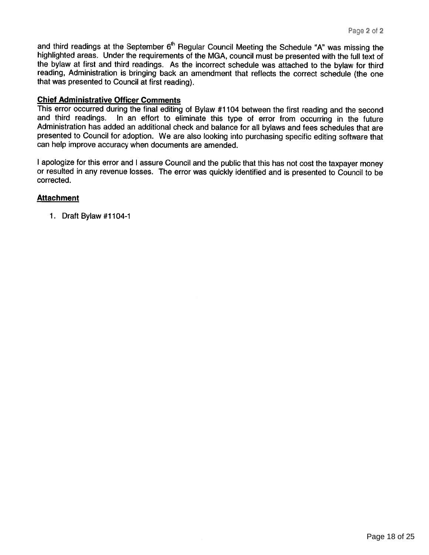and third readings at the September  $6<sup>th</sup>$  Regular Council Meeting the Schedule "A" was missing the highlighted areas. Under the requirements of the MGA, council must be presented with the full text of the bylaw at first and third readings. As the incorrect schedule was attached to the bylaw for third reading, Administration is bringing back an amendment that reflects the correct schedule (the one that was presented to Council at first reading).

#### Chief Administrative Officer Comments

This error occurred during the final editing of Bylaw #1104 between the first reading and the second and third readings. In an effort to eliminate this type of error from occurring in the future Administration has added an additional check and balance for all bylaws and fees schedules that are presented to Council for adoption. We are also looking into purchasing specific editing software that can help improve accuracy when documents are amended.

<sup>I</sup> apologize for this error and <sup>I</sup> assure Council and the public that this has not cost the taxpayer money or resulted in any revenue losses. The error was quickly identified and is presented to Council to be corrected.

#### **Attachment**

1. Draft Bylaw #1104-1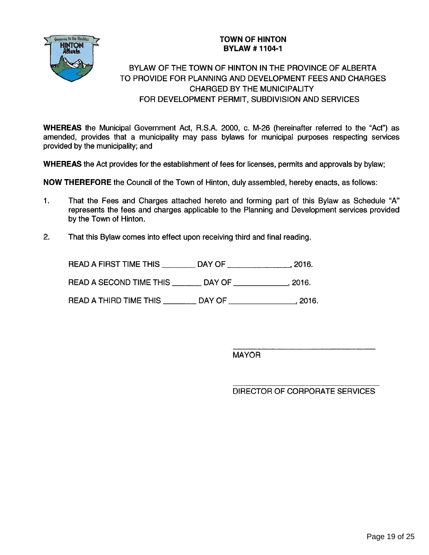

#### TOWN OF HINTON **BYLAW #1104-1**

# BYLAW OF THE TOWN OF HINTON IN THE PROVINCE OF ALBERTA TO PROVIDE FOR PLANNING AND DEVELOPMENT FEES AND CHARGES CHARGED BY THE MUNICIPALITY FOR DEVELOPMENT PERMIT, SUBDIVISION AND SERVICES TOWN OF HINTON<br>
READAFFIRST TO PROVIDE FOR PLANNING AND DEVELOPMENT FOR PROVIDE FOR PLANNING AND DEVELOPMENT FOR DEVELOPMENT FOR DEVELOPMENT FOR DEVELOPMENT FOR DEVELOPMENT FOR DEVELOPMENT PERMIT, SUBDIVISION AND CHARGED B

WHEREAS the Municipal Government Act, R.S.A. 2000, c. M-26 (hereinafter referred to the "Act") as amended, provides that <sup>a</sup> municipality may pass bylaws for municipal purposes respecting services provided by the municipality; and

WHEREAS the Act provides for the establishment of fees for licenses, permits and approvals by bylaw;

NOW THEREFORE the Council of the Town of Hinton, duly assembled, hereby enacts, as follows:

- 1. That the Fees and Charges attached hereto and forming par<sup>t</sup> of this Bylaw as Schedule "A" represents the fees and charges applicable to the Planning and Development services provided by the Town of Hinton.
- 2. That this Bylaw comes into effect upon receiving third and final reading.

| a the Rockles<br><b>TTON</b><br>berta |                            | <b>TOWN OF HINTON</b><br><b>BYLAW #1104-1</b>                                                                                                                            |  |
|---------------------------------------|----------------------------|--------------------------------------------------------------------------------------------------------------------------------------------------------------------------|--|
|                                       |                            | BYLAW OF THE TOWN OF HINTON IN THE PROVIN<br>TO PROVIDE FOR PLANNING AND DEVELOPMENT FE<br><b>CHARGED BY THE MUNICIPALITY</b><br>FOR DEVELOPMENT PERMIT, SUBDIVISION AND |  |
|                                       | d by the municipality; and | EAS the Municipal Government Act, R.S.A. 2000, c. M-26 (hereinafter i<br>d, provides that a municipality may pass bylaws for municipal purpo                             |  |
|                                       |                            | EAS the Act provides for the establishment of fees for licenses, permits and                                                                                             |  |
|                                       |                            | <b>HEREFORE</b> the Council of the Town of Hinton, duly assembled, hereby e                                                                                              |  |
| by the Town of Hinton.                |                            | That the Fees and Charges attached hereto and forming part of this<br>represents the fees and charges applicable to the Planning and Develop                             |  |
|                                       |                            | That this Bylaw comes into effect upon receiving third and final reading.                                                                                                |  |
|                                       |                            | READ A FIRST TIME THIS _________ DAY OF _________________, 2016.                                                                                                         |  |
|                                       |                            | READ A SECOND TIME THIS ________ DAY OF _____________, 2016.                                                                                                             |  |
|                                       |                            | READ A THIRD TIME THIS _________ DAY OF _________________, 2016                                                                                                          |  |

MAYOR

DIRECTOR OF CORPORATE SERVICES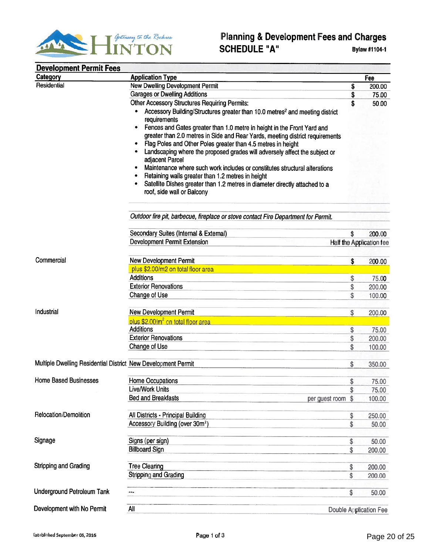

| <b>ANTON</b>                                                  | <b>Planning &amp; Development Fees and Charges</b><br><b>SCHEDULE "A"</b>                                                                                                                                                                                                                                                                                                                                                                                                                                                                                                                                                                                                                                                                       |          | Bylaw #1104-1                 |
|---------------------------------------------------------------|-------------------------------------------------------------------------------------------------------------------------------------------------------------------------------------------------------------------------------------------------------------------------------------------------------------------------------------------------------------------------------------------------------------------------------------------------------------------------------------------------------------------------------------------------------------------------------------------------------------------------------------------------------------------------------------------------------------------------------------------------|----------|-------------------------------|
| <b>Development Permit Fees</b>                                |                                                                                                                                                                                                                                                                                                                                                                                                                                                                                                                                                                                                                                                                                                                                                 |          |                               |
| <b>Category</b>                                               | <b>Application Type</b>                                                                                                                                                                                                                                                                                                                                                                                                                                                                                                                                                                                                                                                                                                                         |          | Fee                           |
| Residential                                                   | <b>New Dwelling Development Permit</b>                                                                                                                                                                                                                                                                                                                                                                                                                                                                                                                                                                                                                                                                                                          | \$       | 200.00                        |
|                                                               | <b>Garages or Dwelling Additions</b>                                                                                                                                                                                                                                                                                                                                                                                                                                                                                                                                                                                                                                                                                                            | \$       | 75.00                         |
|                                                               | <b>Other Accessory Structures Requiring Permits:</b><br>Accessory Building/Structures greater than 10.0 metres <sup>2</sup> and meeting district<br>requirements<br>• Fences and Gates greater than 1.0 metre in height in the Front Yard and<br>greater than 2.0 metres in Side and Rear Yards, meeting district requirements<br>Flag Poles and Other Poles greater than 4.5 metres in height<br>Landscaping where the proposed grades will adversely affect the subject or<br>adjacent Parcel<br>Maintenance where such work includes or constitutes structural alterations<br>Retaining walls greater than 1.2 metres in height<br>Satellite Dishes greater than 1.2 metres in diameter directly attached to a<br>roof, side wall or Balcony | \$       | 50.00                         |
|                                                               | Outdoor fire pit, barbecue, fireplace or stove contact Fire Department for Permit.                                                                                                                                                                                                                                                                                                                                                                                                                                                                                                                                                                                                                                                              |          |                               |
|                                                               | Secondary Suites (Internal & External)                                                                                                                                                                                                                                                                                                                                                                                                                                                                                                                                                                                                                                                                                                          | \$       | 200.00                        |
|                                                               | <b>Development Permit Extension</b>                                                                                                                                                                                                                                                                                                                                                                                                                                                                                                                                                                                                                                                                                                             |          | Half the Application fee      |
|                                                               |                                                                                                                                                                                                                                                                                                                                                                                                                                                                                                                                                                                                                                                                                                                                                 |          |                               |
| Commercial                                                    | <b>New Development Permit</b>                                                                                                                                                                                                                                                                                                                                                                                                                                                                                                                                                                                                                                                                                                                   | \$       | 200.00                        |
|                                                               | plus \$2.00/m2 on total floor area                                                                                                                                                                                                                                                                                                                                                                                                                                                                                                                                                                                                                                                                                                              |          |                               |
|                                                               | <b>Additions</b>                                                                                                                                                                                                                                                                                                                                                                                                                                                                                                                                                                                                                                                                                                                                | \$       | 75.00                         |
|                                                               | <b>Exterior Renovations</b>                                                                                                                                                                                                                                                                                                                                                                                                                                                                                                                                                                                                                                                                                                                     | \$       | 200.00                        |
|                                                               | Change of Use                                                                                                                                                                                                                                                                                                                                                                                                                                                                                                                                                                                                                                                                                                                                   | \$       | 100.00                        |
|                                                               |                                                                                                                                                                                                                                                                                                                                                                                                                                                                                                                                                                                                                                                                                                                                                 |          |                               |
| Industrial                                                    | <b>New Development Permit</b>                                                                                                                                                                                                                                                                                                                                                                                                                                                                                                                                                                                                                                                                                                                   | \$       | 200.00                        |
|                                                               | plus \$2,00/m <sup>2</sup> on total floor area<br><b>Additions</b>                                                                                                                                                                                                                                                                                                                                                                                                                                                                                                                                                                                                                                                                              |          |                               |
|                                                               | <b>Exterior Renovations</b>                                                                                                                                                                                                                                                                                                                                                                                                                                                                                                                                                                                                                                                                                                                     | \$       | 75.00<br>200.00               |
|                                                               | Change of Use                                                                                                                                                                                                                                                                                                                                                                                                                                                                                                                                                                                                                                                                                                                                   | \$<br>\$ | 100.00                        |
|                                                               |                                                                                                                                                                                                                                                                                                                                                                                                                                                                                                                                                                                                                                                                                                                                                 |          |                               |
| Multiple Dwelling Residential District New Development Permit |                                                                                                                                                                                                                                                                                                                                                                                                                                                                                                                                                                                                                                                                                                                                                 | \$       | 350.00                        |
|                                                               |                                                                                                                                                                                                                                                                                                                                                                                                                                                                                                                                                                                                                                                                                                                                                 |          |                               |
| <b>Home Based Businesses</b>                                  | <b>Home Occupations</b>                                                                                                                                                                                                                                                                                                                                                                                                                                                                                                                                                                                                                                                                                                                         | \$       | 75.00                         |
|                                                               | Live/Work Units                                                                                                                                                                                                                                                                                                                                                                                                                                                                                                                                                                                                                                                                                                                                 | \$       | 75.00                         |
|                                                               | <b>Bed and Breakfasts</b><br>per guest room                                                                                                                                                                                                                                                                                                                                                                                                                                                                                                                                                                                                                                                                                                     | \$       | 100.00                        |
|                                                               |                                                                                                                                                                                                                                                                                                                                                                                                                                                                                                                                                                                                                                                                                                                                                 |          |                               |
| Relocation/Demolition                                         | All Districts - Principal Building                                                                                                                                                                                                                                                                                                                                                                                                                                                                                                                                                                                                                                                                                                              | \$       | 250.00                        |
|                                                               | Accessory Building (over 30m <sup>2</sup> )                                                                                                                                                                                                                                                                                                                                                                                                                                                                                                                                                                                                                                                                                                     | \$       | 50.00                         |
| Signage                                                       |                                                                                                                                                                                                                                                                                                                                                                                                                                                                                                                                                                                                                                                                                                                                                 |          |                               |
|                                                               | Signs (per sign)<br><b>Billboard Sign</b>                                                                                                                                                                                                                                                                                                                                                                                                                                                                                                                                                                                                                                                                                                       | \$<br>\$ | 50.00                         |
|                                                               |                                                                                                                                                                                                                                                                                                                                                                                                                                                                                                                                                                                                                                                                                                                                                 |          | 200.00                        |
| Stripping and Grading                                         | <b>Tree Clearing</b>                                                                                                                                                                                                                                                                                                                                                                                                                                                                                                                                                                                                                                                                                                                            | \$       | 200.00                        |
|                                                               | Stripping and Grading                                                                                                                                                                                                                                                                                                                                                                                                                                                                                                                                                                                                                                                                                                                           | \$       | 200.00                        |
|                                                               |                                                                                                                                                                                                                                                                                                                                                                                                                                                                                                                                                                                                                                                                                                                                                 |          |                               |
| Underground Petroleum Tank                                    | ---                                                                                                                                                                                                                                                                                                                                                                                                                                                                                                                                                                                                                                                                                                                                             | \$       | 50.00                         |
| Development with No Permit                                    | All                                                                                                                                                                                                                                                                                                                                                                                                                                                                                                                                                                                                                                                                                                                                             |          | <b>Double Application Fee</b> |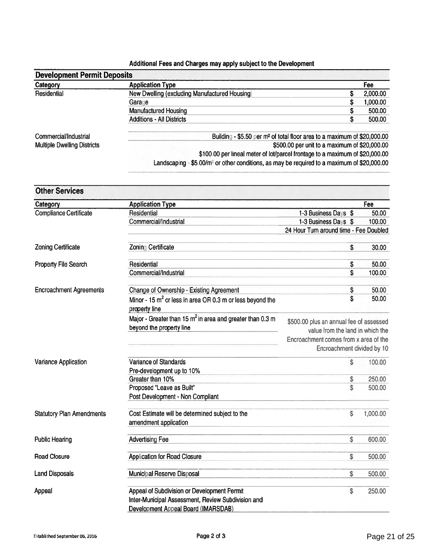#### Additional Fees and Charges may apply subject to the Development

| <b>Development Permit Deposits</b> |                                                                                                         |    |          |  |
|------------------------------------|---------------------------------------------------------------------------------------------------------|----|----------|--|
| Category                           | <b>Application Type</b>                                                                                 |    | Fee      |  |
| Residential                        | New Dwelling (excluding Manufactured Housing)                                                           | \$ | 2,000.00 |  |
|                                    | Garage                                                                                                  | \$ | 1,000.00 |  |
|                                    | <b>Manufactured Housing</b>                                                                             | S  | 500.00   |  |
|                                    | <b>Additions - All Districts</b>                                                                        | S  | 500.00   |  |
| Commercial/Industrial              | Building - \$5.50 per m <sup>2</sup> of total floor area to a maximum of \$20,000.00                    |    |          |  |
| <b>Multiple Dwelling Districts</b> | \$500.00 per unit to a maximum of \$20,000.00                                                           |    |          |  |
|                                    | \$100.00 per lineal meter of lot/parcel frontage to a maximum of \$20,000.00                            |    |          |  |
|                                    | Landscaping - \$5.00/m <sup>2</sup> or other conditions, as may be required to a maximum of \$20,000.00 |    |          |  |

| <b>Other Services</b>            |                                                                                          |                                                                             |          |
|----------------------------------|------------------------------------------------------------------------------------------|-----------------------------------------------------------------------------|----------|
| Category                         | <b>Application Type</b>                                                                  |                                                                             | Fee      |
| <b>Compliance Certificate</b>    | Residential                                                                              | 1-3 Business Days \$                                                        | 50.00    |
|                                  | Commercial/Industrial                                                                    | 1-3 Business Days \$                                                        | 100.00   |
|                                  |                                                                                          | 24 Hour Turn around time - Fee Doubled                                      |          |
| <b>Zoning Certificate</b>        | Zoning Certificate                                                                       | \$                                                                          | 30.00    |
| Property File Search             | Residential                                                                              | \$                                                                          | 50.00    |
|                                  | Commercial/Industrial                                                                    | \$                                                                          | 100.00   |
| <b>Encroachment Agreements</b>   | Change of Ownership - Existing Agreement                                                 | \$                                                                          | 50.00    |
|                                  | Minor - 15 m <sup>2</sup> or less in area OR 0.3 m or less beyond the<br>property line   | \$                                                                          | 50.00    |
|                                  | Major - Greater than 15 $m^2$ in area and greater than 0.3 m<br>beyond the property line | \$500.00 plus an annual fee of assessed<br>value from the land in which the |          |
|                                  |                                                                                          | Encroachment comes from x area of the<br>Encroachment divided by 10         |          |
| Variance Application             | Variance of Standards                                                                    | \$                                                                          | 100.00   |
|                                  | Pre-development up to 10%                                                                |                                                                             |          |
|                                  | Greater than 10%                                                                         | \$                                                                          | 250.00   |
|                                  | Proposed "Leave as Built"                                                                | \$                                                                          | 500.00   |
|                                  | Post Development - Non Compliant                                                         |                                                                             |          |
| <b>Statutory Plan Amendments</b> | Cost Estimate will be determined subject to the<br>amendment application                 | \$                                                                          | 1,000.00 |
| <b>Public Hearing</b>            | <b>Advertising Fee</b>                                                                   | \$                                                                          | 600.00   |
| <b>Road Closure</b>              | <b>Application for Road Closure</b>                                                      | \$                                                                          | 500.00   |
| <b>Land Disposals</b>            | Municipal Reserve Disposal                                                               | \$                                                                          | 500.00   |
| Appeal                           | Appeal of Subdivision or Development Permit                                              | \$                                                                          | 250.00   |
|                                  | Inter-Municipal Assessment, Review Subdivision and                                       |                                                                             |          |
|                                  | Development Appeal Board (IMARSDAB)                                                      |                                                                             |          |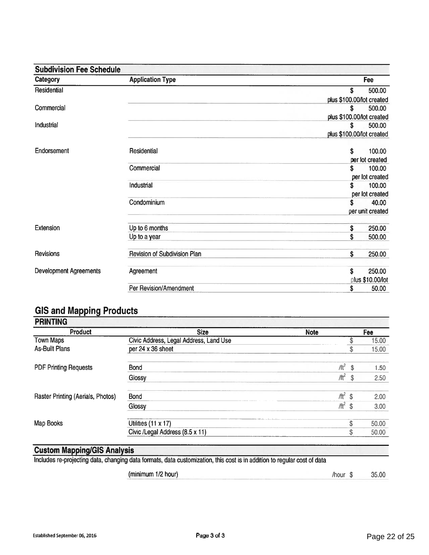| <b>Subdivision Fee Schedule</b> |                              |                           |
|---------------------------------|------------------------------|---------------------------|
| Category                        | <b>Application Type</b>      | Fee                       |
| Residential                     |                              | \$<br>500.00              |
|                                 |                              | plus \$100.00/lot created |
| Commercial                      |                              | \$<br>500.00              |
|                                 |                              | plus \$100.00/lot created |
| Industrial                      |                              | 500.00<br>\$              |
|                                 |                              | plus \$100.00/lot created |
| Endorsement                     | Residential                  | \$<br>100.00              |
|                                 |                              | per lot created           |
|                                 | Commercial                   | 100.00<br>\$              |
|                                 |                              | per lot created           |
|                                 | Industrial                   | 100.00<br>\$              |
|                                 |                              | per lot created           |
|                                 | Condominium                  | 40.00<br>\$               |
|                                 |                              | per unit created          |
| Extension                       | Up to 6 months               | 250.00<br>\$              |
|                                 | Up to a year                 | \$<br>500.00              |
| Revisions                       | Revision of Subdivision Plan | \$<br>250.00              |
| <b>Development Agreements</b>   | Agreement                    | \$<br>250.00              |
|                                 |                              | plus \$10.00/lot          |
|                                 | Per Revision/Amendment       | \$<br>50.00               |

### GIS and Mapping Products

| Product                           | <b>Size</b>                            | <b>Note</b> |     | Fee   |
|-----------------------------------|----------------------------------------|-------------|-----|-------|
| <b>Town Maps</b>                  | Civic Address, Legal Address, Land Use |             |     | 15.00 |
| <b>As-Built Plans</b>             | per 24 x 36 sheet                      |             | \$  | 15.00 |
| <b>PDF Printing Requests</b>      | <b>Bond</b>                            | $/11^2$ \$  |     | 1.50  |
|                                   | Glossy                                 | $/ft^2$     | -\$ | 2.50  |
| Raster Printing (Aerials, Photos) | <b>Bond</b>                            | $/ft^2$ \$  |     | 2.00  |
|                                   | Glossy                                 | $/11^2$ \$  |     | 3.00  |
| Map Books                         | Utilities (11 x 17)                    |             | S   | 50.00 |
|                                   | Civic /Legal Address (8.5 x 11)        |             | \$  | 50.00 |

#### **Custom Mapping/GIS Analysis**

Includes re-projecting data, changing data formats, data customization, this cost is in addition to regular cost of data

(minimum 1/2 hour) /hour \$ 35.00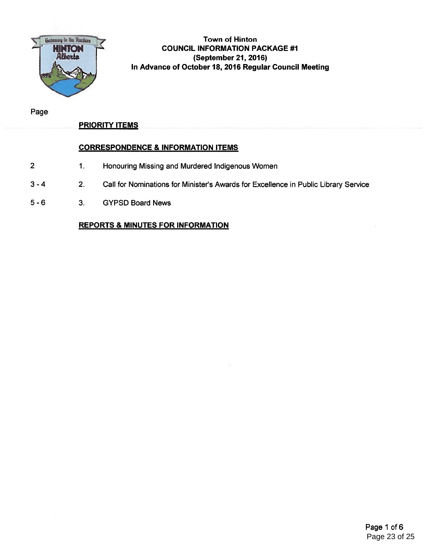

#### Town of Hinton **TION COUNCIL INFORMATION PACKAGE #1** (September 21, 2016) In Advance of October 18, 2016 Regular Council Meeting

Page

#### PRIORITY ITEMS

#### CORRESPONDENCE & INFORMATION ITEMS

- 2 1. Honouring Missing and Murdered Indigenous Women
- 3 4 2. Call for Nominations for Minister's Awards for Excellence in Public Library Service
- 5 6 3. GYPSD Board News

#### REPORTS & MINUTES FOR INFORMATION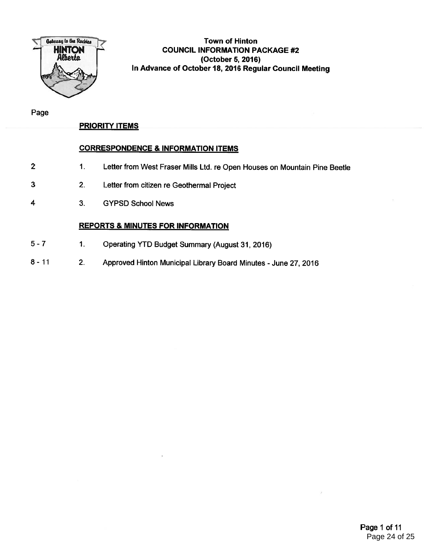

#### Town of Hinton COUNCIL INFORMATION PACKAGE #2 (October 5, 2016) In Advance of October 18, <sup>2016</sup> Regular Council Meeting

Page

#### PRIORITY ITEMS

#### CORRESPONDENCE & INFORMATION ITEMS

- 1. Letter from West Fraser Mills Ltd. re Open Houses on Mountain Pine Beetle 2
- 2. Letter from citizen re Geothermal Project 3
- 3. GYPSD School News 4

#### REPORTS & MINUTES FOR INFORMATION

- 1. Operating YTD Budget Summary (August 31, 2016) 5-7
- 2. Approved Hinton Municipal Library Board Minutes -June 27, 2016 8-11